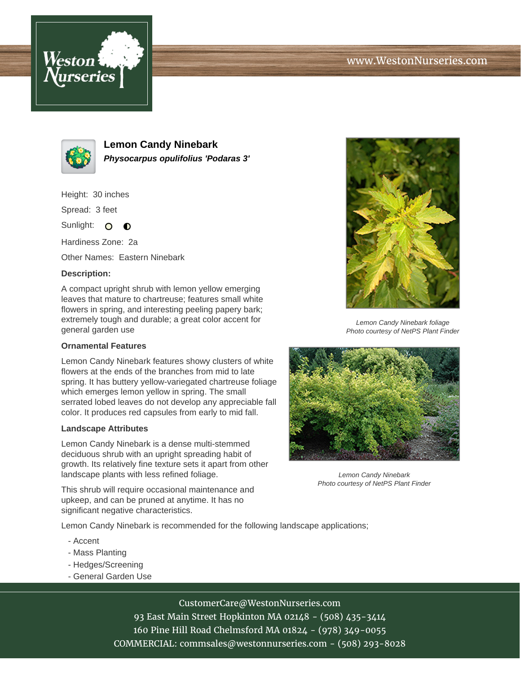# www.WestonNurseries.com





**Lemon Candy Ninebark Physocarpus opulifolius 'Podaras 3'**

Height: 30 inches

Spread: 3 feet

Sunlight: O  $\bullet$ 

Hardiness Zone: 2a

Other Names: Eastern Ninebark

### **Description:**

A compact upright shrub with lemon yellow emerging leaves that mature to chartreuse; features small white flowers in spring, and interesting peeling papery bark; extremely tough and durable; a great color accent for general garden use

#### **Ornamental Features**

Lemon Candy Ninebark features showy clusters of white flowers at the ends of the branches from mid to late spring. It has buttery yellow-variegated chartreuse foliage which emerges lemon yellow in spring. The small serrated lobed leaves do not develop any appreciable fall color. It produces red capsules from early to mid fall.

#### **Landscape Attributes**

Lemon Candy Ninebark is a dense multi-stemmed deciduous shrub with an upright spreading habit of growth. Its relatively fine texture sets it apart from other landscape plants with less refined foliage.

This shrub will require occasional maintenance and upkeep, and can be pruned at anytime. It has no significant negative characteristics.

Lemon Candy Ninebark is recommended for the following landscape applications;

- Accent
- Mass Planting
- Hedges/Screening
- General Garden Use



Lemon Candy Ninebark foliage Photo courtesy of NetPS Plant Finder



Lemon Candy Ninebark Photo courtesy of NetPS Plant Finder

CustomerCare@WestonNurseries.com

93 East Main Street Hopkinton MA 02148 - (508) 435-3414 160 Pine Hill Road Chelmsford MA 01824 - (978) 349-0055 COMMERCIAL: commsales@westonnurseries.com - (508) 293-8028